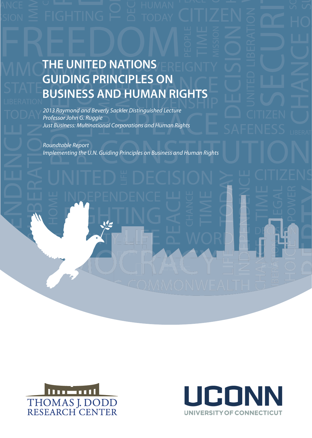# **BUSINESS AND HUMAN RIGHTS** *Nineteenth Raymond and Beverly Sackler*  **DISTRINGUISHED NATIONS GUIDING PRINCIPLES ON**

**Multinational Corporations**  *Just Business: Multinational Corporations and Human Rights 2013 Raymond and Beverly Sackler Distinguished Lecture Professor John G. Ruggie*

**Example 2018**<br> **Roundtable Report** *Implementing the U.N. Guiding Principles on Business and Human Rights* 



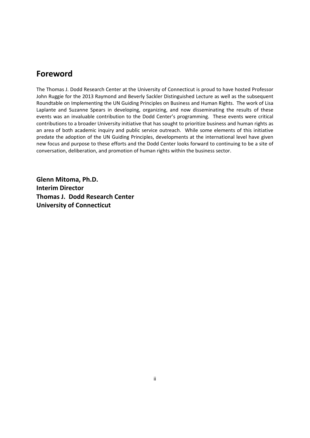# **Foreword**

The Thomas J. Dodd Research Center at the University of Connecticut is proud to have hosted Professor John Ruggie for the 2013 Raymond and Beverly Sackler Distinguished Lecture as well as the subsequent Roundtable on Implementing the UN Guiding Principles on Business and Human Rights. The work of Lisa Laplante and Suzanne Spears in developing, organizing, and now disseminating the results of these events was an invaluable contribution to the Dodd Center's programming. These events were critical contributions to a broader University initiative that has sought to prioritize business and human rights as an area of both academic inquiry and public service outreach. While some elements of this initiative predate the adoption of the UN Guiding Principles, developments at the international level have given new focus and purpose to these efforts and the Dodd Center looks forward to continuing to be a site of conversation, deliberation, and promotion of human rights within the business sector.

**Glenn Mitoma, Ph.D. Interim Director Thomas J. Dodd Research Center University of Connecticut**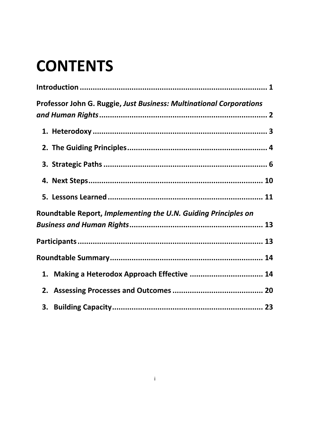# **CONTENTS**

| <b>Professor John G. Ruggie, Just Business: Multinational Corporations</b> |  |
|----------------------------------------------------------------------------|--|
|                                                                            |  |
|                                                                            |  |
|                                                                            |  |
|                                                                            |  |
|                                                                            |  |
| Roundtable Report, Implementing the U.N. Guiding Principles on             |  |
|                                                                            |  |
|                                                                            |  |
|                                                                            |  |
| 1. Making a Heterodox Approach Effective  14                               |  |
|                                                                            |  |
| 3.                                                                         |  |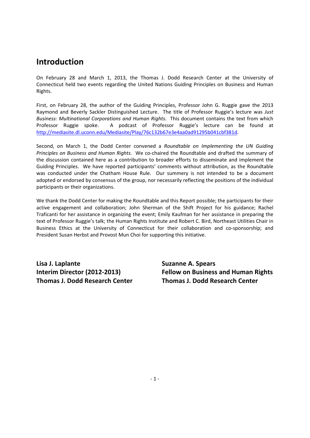# **Introduction**

On February 28 and March 1, 2013, the Thomas J. Dodd Research Center at the University of Connecticut held two events regarding the United Nations Guiding Principles on Business and Human Rights.

First, on February 28, the author of the Guiding Principles, Professor John G. Ruggie gave the 2013 Raymond and Beverly Sackler Distinguished Lecture. The title of Professor Ruggie's lecture was *Just Business: Multinational Corporations and Human Rights*. This document contains the text from which Professor Ruggie spoke. A podcast of Professor Ruggie's lecture can be found at http://mediasite.dl.uconn.edu/Mediasite/Play/76c132b67e3e4aa0ad91295b041cbf381d.

Second, on March 1, the Dodd Center convened a *Roundtable on Implementing the UN Guiding Principles on Business and Human Rights*. We co‐chaired the Roundtable and drafted the summary of the discussion contained here as a contribution to broader efforts to disseminate and implement the Guiding Principles. We have reported participants' comments without attribution, as the Roundtable was conducted under the Chatham House Rule. Our summery is not intended to be a document adopted or endorsed by consensus of the group, nor necessarily reflecting the positions of the individual participants or their organizations.

We thank the Dodd Center for making the Roundtable and this Report possible; the participants for their active engagement and collaboration; John Sherman of the Shift Project for his guidance; Rachel Traficanti for her assistance in organizing the event; Emily Kaufman for her assistance in preparing the text of Professor Ruggie's talk; the Human Rights Institute and Robert C. Bird, Northeast Utilities Chair in Business Ethics at the University of Connecticut for their collaboration and co-sponsorship; and President Susan Herbst and Provost Mun Choi for supporting this initiative.

**Lisa J. Laplante Suzanne A. Spears Thomas J. Dodd Research Center Thomas J. Dodd Research Center**

**Interim Director (2012‐2013) Fellow on Business and Human Rights**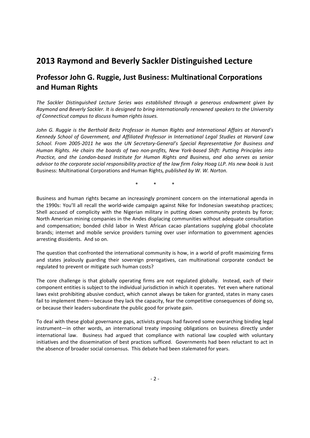# **2013 Raymond and Beverly Sackler Distinguished Lecture**

# **Professor John G. Ruggie, Just Business: Multinational Corporations and Human Rights**

*The Sackler Distinguished Lecture Series was established through a generous endowment given by Raymond and Beverly Sackler. It is designed to bring internationally renowned speakers to the University of Connecticut campus to discuss human rights issues.*

*John G. Ruggie is the Berthold Beitz Professor in Human Rights and International Affairs at Harvard's Kennedy School of Government, and Affiliated Professor in International Legal Studies at Harvard Law School. From 2005‐2011 he was the UN Secretary‐General's Special Representative for Business and* Human Rights. He chairs the boards of two non-profits, New York-based Shift: Putting Principles into *Practice, and the London‐based Institute for Human Rights and Business, and also serves as senior* advisor to the corporate social responsibility practice of the law firm Foley Hoag LLP. His new book is Just Business: Multinational Corporations and Human Rights*, published by W. W. Norton.* 

\* \* \*

Business and human rights became an increasingly prominent concern on the international agenda in the 1990s: You'll all recall the world‐wide campaign against Nike for Indonesian sweatshop practices; Shell accused of complicity with the Nigerian military in putting down community protests by force; North American mining companies in the Andes displacing communities without adequate consultation and compensation; bonded child labor in West African cacao plantations supplying global chocolate brands; internet and mobile service providers turning over user information to government agencies arresting dissidents. And so on.

The question that confronted the international community is how, in a world of profit maximizing firms and states jealously guarding their sovereign prerogatives, can multinational corporate conduct be regulated to prevent or mitigate such human costs?

The core challenge is that globally operating firms are not regulated globally. Instead, each of their component entities is subject to the individual jurisdiction in which it operates. Yet even where national laws exist prohibiting abusive conduct, which cannot always be taken for granted, states in many cases fail to implement them—because they lack the capacity, fear the competitive consequences of doing so, or because their leaders subordinate the public good for private gain.

To deal with these global governance gaps, activists groups had favored some overarching binding legal instrument—in other words, an international treaty imposing obligations on business directly under international law. Business had argued that compliance with national law coupled with voluntary initiatives and the dissemination of best practices sufficed. Governments had been reluctant to act in the absence of broader social consensus. This debate had been stalemated for years.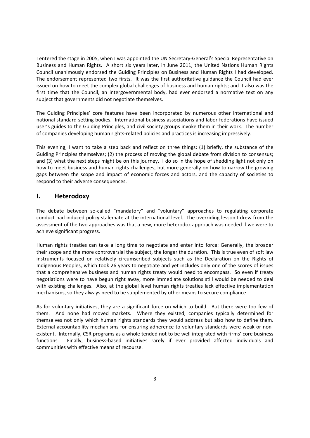I entered the stage in 2005, when I was appointed the UN Secretary‐General's Special Representative on Business and Human Rights. A short six years later, in June 2011, the United Nations Human Rights Council unanimously endorsed the Guiding Principles on Business and Human Rights I had developed. The endorsement represented two firsts. It was the first authoritative guidance the Council had ever issued on how to meet the complex global challenges of business and human rights; and it also was the first time that the Council, an intergovernmental body, had ever endorsed a normative text on any subject that governments did not negotiate themselves.

The Guiding Principles' core features have been incorporated by numerous other international and national standard setting bodies. International business associations and labor federations have issued user's guides to the Guiding Principles, and civil society groups invoke them in their work. The number of companies developing human rights‐related policies and practices is increasing impressively.

This evening, I want to take a step back and reflect on three things: (1) briefly, the substance of the Guiding Principles themselves; (2) the process of moving the global debate from division to consensus; and (3) what the next steps might be on this journey. I do so in the hope of shedding light not only on how to meet business and human rights challenges, but more generally on how to narrow the growing gaps between the scope and impact of economic forces and actors, and the capacity of societies to respond to their adverse consequences.

#### **I. Heterodoxy**

The debate between so-called "mandatory" and "voluntary" approaches to regulating corporate conduct had induced policy stalemate at the international level. The overriding lesson I drew from the assessment of the two approaches was that a new, more heterodox approach was needed if we were to achieve significant progress.

Human rights treaties can take a long time to negotiate and enter into force: Generally, the broader their scope and the more controversial the subject, the longer the duration. This is true even of soft law instruments focused on relatively circumscribed subjects such as the Declaration on the Rights of Indigenous Peoples, which took 26 years to negotiate and yet includes only one of the scores of issues that a comprehensive business and human rights treaty would need to encompass. So even if treaty negotiations were to have begun right away, more immediate solutions still would be needed to deal with existing challenges. Also, at the global level human rights treaties lack effective implementation mechanisms, so they always need to be supplemented by other means to secure compliance.

As for voluntary initiatives, they are a significant force on which to build. But there were too few of them. And none had moved markets. Where they existed, companies typically determined for themselves not only which human rights standards they would address but also how to define them. External accountability mechanisms for ensuring adherence to voluntary standards were weak or nonexistent. Internally, CSR programs as a whole tended not to be well integrated with firms' core business functions. Finally, business-based initiatives rarely if ever provided affected individuals and communities with effective means of recourse.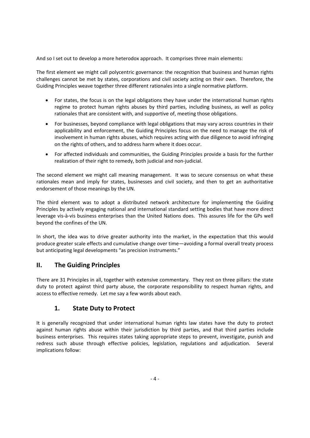And so I set out to develop a more heterodox approach. It comprises three main elements:

The first element we might call polycentric governance: the recognition that business and human rights challenges cannot be met by states, corporations and civil society acting on their own. Therefore, the Guiding Principles weave together three different rationales into a single normative platform.

- For states, the focus is on the legal obligations they have under the international human rights regime to protect human rights abuses by third parties, including business, as well as policy rationales that are consistent with, and supportive of, meeting those obligations.
- For businesses, beyond compliance with legal obligations that may vary across countries in their applicability and enforcement, the Guiding Principles focus on the need to manage the risk of involvement in human rights abuses, which requires acting with due diligence to avoid infringing on the rights of others, and to address harm where it does occur.
- For affected individuals and communities, the Guiding Principles provide a basis for the further realization of their right to remedy, both judicial and non‐judicial.

The second element we might call meaning management. It was to secure consensus on what these rationales mean and imply for states, businesses and civil society, and then to get an authoritative endorsement of those meanings by the UN.

The third element was to adopt a distributed network architecture for implementing the Guiding Principles by actively engaging national and international standard setting bodies that have more direct leverage vis‐à‐vis business enterprises than the United Nations does. This assures life for the GPs well beyond the confines of the UN.

In short, the idea was to drive greater authority into the market, in the expectation that this would produce greater scale effects and cumulative change over time—avoiding a formal overall treaty process but anticipating legal developments "as precision instruments."

#### **II. The Guiding Principles**

There are 31 Principles in all, together with extensive commentary. They rest on three pillars: the state duty to protect against third party abuse, the corporate responsibility to respect human rights, and access to effective remedy. Let me say a few words about each.

#### **1. State Duty to Protect**

It is generally recognized that under international human rights law states have the duty to protect against human rights abuse within their jurisdiction by third parties, and that third parties include business enterprises. This requires states taking appropriate steps to prevent, investigate, punish and redress such abuse through effective policies, legislation, regulations and adjudication. Several implications follow: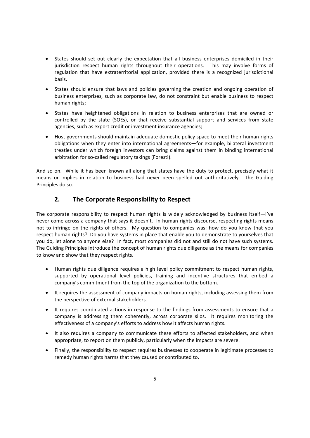- States should set out clearly the expectation that all business enterprises domiciled in their jurisdiction respect human rights throughout their operations. This may involve forms of regulation that have extraterritorial application, provided there is a recognized jurisdictional basis.
- States should ensure that laws and policies governing the creation and ongoing operation of business enterprises, such as corporate law, do not constraint but enable business to respect human rights;
- States have heightened obligations in relation to business enterprises that are owned or controlled by the state (SOEs), or that receive substantial support and services from state agencies, such as export credit or investment insurance agencies;
- Host governments should maintain adequate domestic policy space to meet their human rights obligations when they enter into international agreements—for example, bilateral investment treaties under which foreign investors can bring claims against them in binding international arbitration for so‐called regulatory takings (Foresti).

And so on. While it has been known all along that states have the duty to protect, precisely what it means or implies in relation to business had never been spelled out authoritatively. The Guiding Principles do so.

#### **2. The Corporate Responsibility to Respect**

The corporate responsibility to respect human rights is widely acknowledged by business itself—I've never come across a company that says it doesn't. In human rights discourse, respecting rights means not to infringe on the rights of others. My question to companies was: how do you know that you respect human rights? Do you have systems in place that enable you to demonstrate to yourselves that you do, let alone to anyone else? In fact, most companies did not and still do not have such systems. The Guiding Principles introduce the concept of human rights due diligence as the means for companies to know and show that they respect rights.

- Human rights due diligence requires a high level policy commitment to respect human rights, supported by operational level policies, training and incentive structures that embed a company's commitment from the top of the organization to the bottom.
- It requires the assessment of company impacts on human rights, including assessing them from the perspective of external stakeholders.
- It requires coordinated actions in response to the findings from assessments to ensure that a company is addressing them coherently, across corporate silos. It requires monitoring the effectiveness of a company's efforts to address how it affects human rights.
- It also requires a company to communicate these efforts to affected stakeholders, and when appropriate, to report on them publicly, particularly when the impacts are severe.
- Finally, the responsibility to respect requires businesses to cooperate in legitimate processes to remedy human rights harms that they caused or contributed to.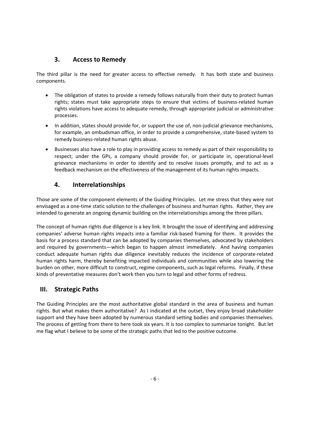#### **3. Access to Remedy**

The third pillar is the need for greater access to effective remedy. It has both state and business components.

- The obligation of states to provide a remedy follows naturally from their duty to protect human rights; states must take appropriate steps to ensure that victims of business-related human rights violations have access to adequate remedy, through appropriate judicial or administrative processes.
- In addition, states should provide for, or support the use of, non-judicial grievance mechanisms, for example, an ombudsman office, in order to provide a comprehensive, state-based system to remedy business‐related human rights abuse.
- Businesses also have a role to play in providing access to remedy as part of their responsibility to respect; under the GPs, a company should provide for, or participate in, operational-level grievance mechanisms in order to identify and to resolve issues promptly, and to act as a feedback mechanism on the effectiveness of the management of its human rights impacts.

#### **4. Interrelationships**

Those are some of the component elements of the Guiding Principles. Let me stress that they were not envisaged as a one-time static solution to the challenges of business and human rights. Rather, they are intended to generate an ongoing dynamic building on the interrelationships among the three pillars.

The concept of human rights due diligence is a key link. It brought the issue of identifying and addressing companies' adverse human rights impacts into a familiar risk‐based framing for them. It provides the basis for a process standard that can be adopted by companies themselves, advocated by stakeholders and required by governments—which began to happen almost immediately. And having companies conduct adequate human rights due diligence inevitably reduces the incidence of corporate‐related human rights harm, thereby benefiting impacted individuals and communities while also lowering the burden on other, more difficult to construct, regime components, such as legal reforms. Finally, if these kinds of preventative measures don't work then you turn to legal and other forms of redress.

#### **III. Strategic Paths**

The Guiding Principles are the most authoritative global standard in the area of business and human rights. But what makes them authoritative? As I indicated at the outset, they enjoy broad stakeholder support and they have been adopted by numerous standard setting bodies and companies themselves. The process of getting from there to here took six years. It is too complex to summarize tonight. But let me flag what I believe to be some of the strategic paths that led to the positive outcome.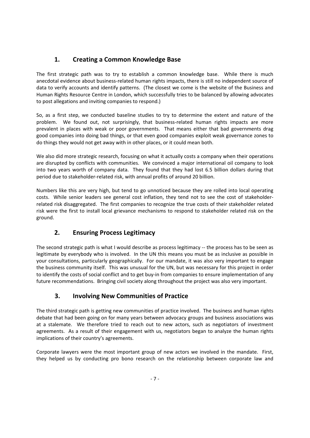# **1. Creating a Common Knowledge Base**

The first strategic path was to try to establish a common knowledge base. While there is much anecdotal evidence about business‐related human rights impacts, there is still no independent source of data to verify accounts and identify patterns. (The closest we come is the website of the Business and Human Rights Resource Centre in London, which successfully tries to be balanced by allowing advocates to post allegations and inviting companies to respond.)

So, as a first step, we conducted baseline studies to try to determine the extent and nature of the problem. We found out, not surprisingly, that business-related human rights impacts are more prevalent in places with weak or poor governments. That means either that bad governments drag good companies into doing bad things, or that even good companies exploit weak governance zones to do things they would not get away with in other places, or it could mean both.

We also did more strategic research, focusing on what it actually costs a company when their operations are disrupted by conflicts with communities. We convinced a major international oil company to look into two years worth of company data. They found that they had lost 6.5 billion dollars during that period due to stakeholder‐related risk, with annual profits of around 20 billion.

Numbers like this are very high, but tend to go unnoticed because they are rolled into local operating costs. While senior leaders see general cost inflation, they tend not to see the cost of stakeholder‐ related risk disaggregated. The first companies to recognize the true costs of their stakeholder related risk were the first to install local grievance mechanisms to respond to stakeholder related risk on the ground.

# **2. Ensuring Process Legitimacy**

The second strategic path is what I would describe as process legitimacy -- the process has to be seen as legitimate by everybody who is involved. In the UN this means you must be as inclusive as possible in your consultations, particularly geographically. For our mandate, it was also very important to engage the business community itself. This was unusual for the UN, but was necessary for this project in order to identify the costs of social conflict and to get buy‐in from companies to ensure implementation of any future recommendations. Bringing civil society along throughout the project was also very important.

# **3. Involving New Communities of Practice**

The third strategic path is getting new communities of practice involved. The business and human rights debate that had been going on for many years between advocacy groups and business associations was at a stalemate. We therefore tried to reach out to new actors, such as negotiators of investment agreements. As a result of their engagement with us, negotiators began to analyze the human rights implications of their country's agreements.

Corporate lawyers were the most important group of new actors we involved in the mandate. First, they helped us by conducting pro bono research on the relationship between corporate law and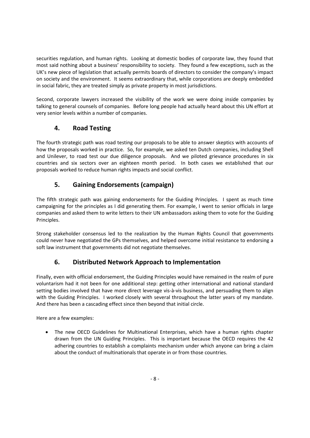securities regulation, and human rights. Looking at domestic bodies of corporate law, they found that most said nothing about a business' responsibility to society. They found a few exceptions, such as the UK's new piece of legislation that actually permits boards of directors to consider the company's impact on society and the environment. It seems extraordinary that, while corporations are deeply embedded in social fabric, they are treated simply as private property in most jurisdictions.

Second, corporate lawyers increased the visibility of the work we were doing inside companies by talking to general counsels of companies. Before long people had actually heard about this UN effort at very senior levels within a number of companies.

# **4. Road Testing**

The fourth strategic path was road testing our proposals to be able to answer skeptics with accounts of how the proposals worked in practice. So, for example, we asked ten Dutch companies, including Shell and Unilever, to road test our due diligence proposals. And we piloted grievance procedures in six countries and six sectors over an eighteen month period. In both cases we established that our proposals worked to reduce human rights impacts and social conflict.

# **5. Gaining Endorsements (campaign)**

The fifth strategic path was gaining endorsements for the Guiding Principles. I spent as much time campaigning for the principles as I did generating them. For example, I went to senior officials in large companies and asked them to write letters to their UN ambassadors asking them to vote for the Guiding Principles.

Strong stakeholder consensus led to the realization by the Human Rights Council that governments could never have negotiated the GPs themselves, and helped overcome initial resistance to endorsing a soft law instrument that governments did not negotiate themselves.

# **6. Distributed Network Approach to Implementation**

Finally, even with official endorsement, the Guiding Principles would have remained in the realm of pure voluntarism had it not been for one additional step: getting other international and national standard setting bodies involved that have more direct leverage vis-à-vis business, and persuading them to align with the Guiding Principles. I worked closely with several throughout the latter years of my mandate. And there has been a cascading effect since then beyond that initial circle.

Here are a few examples:

 The new OECD Guidelines for Multinational Enterprises, which have a human rights chapter drawn from the UN Guiding Principles. This is important because the OECD requires the 42 adhering countries to establish a complaints mechanism under which anyone can bring a claim about the conduct of multinationals that operate in or from those countries.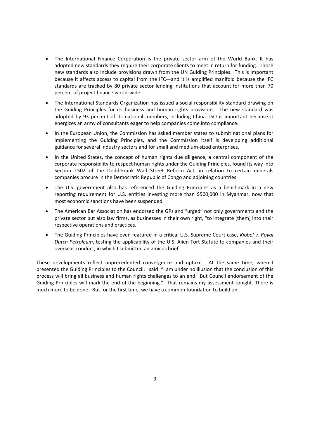- The International Finance Corporation is the private sector arm of the World Bank. It has adopted new standards they require their corporate clients to meet in return for funding. Those new standards also include provisions drawn from the UN Guiding Principles. This is important because it affects access to capital from the IFC—and it is amplified manifold because the IFC standards are tracked by 80 private sector lending institutions that account for more than 70 percent of project finance world‐wide.
- The International Standards Organization has issued a social responsibility standard drawing on the Guiding Principles for its business and human rights provisions. The new standard was adopted by 93 percent of its national members, including China. ISO is important because it energizes an army of consultants eager to help companies come into compliance.
- In the European Union, the Commission has asked member states to submit national plans for implementing the Guiding Principles, and the Commission itself is developing additional guidance for several industry sectors and for small and medium‐sized enterprises.
- In the United States, the concept of human rights due diligence, a central component of the corporate responsibility to respect human rights under the Guiding Principles, found its way into Section 1502 of the Dodd-Frank Wall Street Reform Act, in relation to certain minerals companies procure in the Democratic Republic of Congo and adjoining countries.
- The U.S. government also has referenced the Guiding Principles as a benchmark in a new reporting requirement for U.S. entities investing more than \$500,000 in Myanmar, now that most economic sanctions have been suspended.
- The American Bar Association has endorsed the GPs and "urged" not only governments and the private sector but also law firms, as businesses in their own right, "to integrate [them] into their respective operations and practices.
- The Guiding Principles have even featured in a critical U.S. Supreme Court case, *Kiobel v. Royal Dutch Petroleum*, testing the applicability of the U.S. Alien Tort Statute to companies and their overseas conduct, in which I submitted an amicus brief.

These developments reflect unprecedented convergence and uptake. At the same time, when I presented the Guiding Principles to the Council, I said: "I am under no illusion that the conclusion of this process will bring all business and human rights challenges to an end. But Council endorsement of the Guiding Principles will mark the end of the beginning." That remains my assessment tonight. There is much more to be done. But for the first time, we have a common foundation to build on.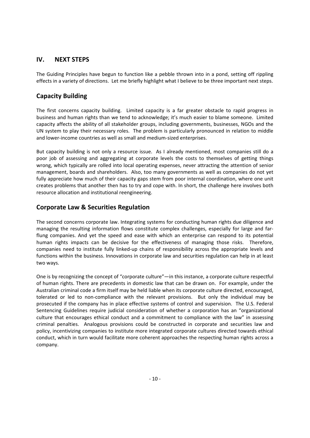#### **IV. NEXT STEPS**

The Guiding Principles have begun to function like a pebble thrown into in a pond, setting off rippling effects in a variety of directions. Let me briefly highlight what I believe to be three important next steps.

#### **Capacity Building**

The first concerns capacity building. Limited capacity is a far greater obstacle to rapid progress in business and human rights than we tend to acknowledge; it's much easier to blame someone. Limited capacity affects the ability of all stakeholder groups, including governments, businesses, NGOs and the UN system to play their necessary roles. The problem is particularly pronounced in relation to middle and lower‐income countries as well as small and medium‐sized enterprises.

But capacity building is not only a resource issue. As I already mentioned, most companies still do a poor job of assessing and aggregating at corporate levels the costs to themselves of getting things wrong, which typically are rolled into local operating expenses, never attracting the attention of senior management, boards and shareholders. Also, too many governments as well as companies do not yet fully appreciate how much of their capacity gaps stem from poor internal coordination, where one unit creates problems that another then has to try and cope with. In short, the challenge here involves both resource allocation and institutional reengineering.

#### **Corporate Law & Securities Regulation**

The second concerns corporate law. Integrating systems for conducting human rights due diligence and managing the resulting information flows constitute complex challenges, especially for large and far‐ flung companies. And yet the speed and ease with which an enterprise can respond to its potential human rights impacts can be decisive for the effectiveness of managing those risks. Therefore, companies need to institute fully linked‐up chains of responsibility across the appropriate levels and functions within the business. Innovations in corporate law and securities regulation can help in at least two ways.

One is by recognizing the concept of "corporate culture"—in this instance, a corporate culture respectful of human rights. There are precedents in domestic law that can be drawn on. For example, under the Australian criminal code a firm itself may be held liable when its corporate culture directed, encouraged, tolerated or led to non-compliance with the relevant provisions. But only the individual may be prosecuted if the company has in place effective systems of control and supervision. The U.S. Federal Sentencing Guidelines require judicial consideration of whether a corporation has an "organizational culture that encourages ethical conduct and a commitment to compliance with the law" in assessing criminal penalties. Analogous provisions could be constructed in corporate and securities law and policy, incentivizing companies to institute more integrated corporate cultures directed towards ethical conduct, which in turn would facilitate more coherent approaches the respecting human rights across a company.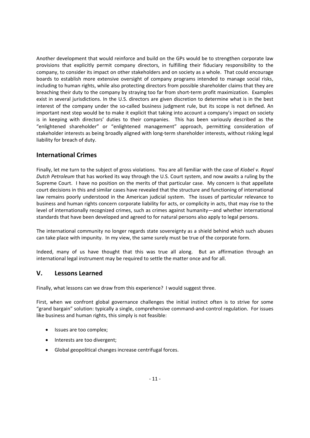Another development that would reinforce and build on the GPs would be to strengthen corporate law provisions that explicitly permit company directors, in fulfilling their fiduciary responsibility to the company, to consider its impact on other stakeholders and on society as a whole. That could encourage boards to establish more extensive oversight of company programs intended to manage social risks, including to human rights, while also protecting directors from possible shareholder claims that they are breaching their duty to the company by straying too far from short‐term profit maximization. Examples exist in several jurisdictions. In the U.S. directors are given discretion to determine what is in the best interest of the company under the so-called business judgment rule, but its scope is not defined. An important next step would be to make it explicit that taking into account a company's impact on society is in keeping with directors' duties to their companies. This has been variously described as the "enlightened shareholder" or "enlightened management" approach, permitting consideration of stakeholder interests as being broadly aligned with long‐term shareholder interests, without risking legal liability for breach of duty.

#### **International Crimes**

Finally, let me turn to the subject of gross violations. You are all familiar with the case of *Kiobel v. Royal Dutch Petroleum* that has worked its way through the U.S. Court system, and now awaits a ruling by the Supreme Court. I have no position on the merits of that particular case. My concern is that appellate court decisions in this and similar cases have revealed that the structure and functioning of international law remains poorly understood in the American judicial system. The issues of particular relevance to business and human rights concern corporate liability for acts, or complicity in acts, that may rise to the level of internationally recognized crimes, such as crimes against humanity—and whether international standards that have been developed and agreed to for natural persons also apply to legal persons.

The international community no longer regards state sovereignty as a shield behind which such abuses can take place with impunity. In my view, the same surely must be true of the corporate form.

Indeed, many of us have thought that this was true all along. But an affirmation through an international legal instrument may be required to settle the matter once and for all.

#### **V. Lessons Learned**

Finally, what lessons can we draw from this experience? I would suggest three.

First, when we confront global governance challenges the initial instinct often is to strive for some "grand bargain" solution: typically a single, comprehensive command‐and‐control regulation. For issues like business and human rights, this simply is not feasible:

- Issues are too complex;
- Interests are too divergent;
- Global geopolitical changes increase centrifugal forces.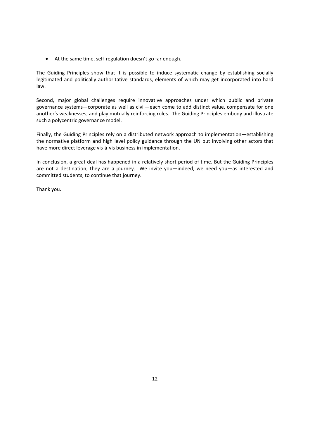● At the same time, self-regulation doesn't go far enough.

The Guiding Principles show that it is possible to induce systematic change by establishing socially legitimated and politically authoritative standards, elements of which may get incorporated into hard law.

Second, major global challenges require innovative approaches under which public and private governance systems—corporate as well as civil—each come to add distinct value, compensate for one another's weaknesses, and play mutually reinforcing roles. The Guiding Principles embody and illustrate such a polycentric governance model.

Finally, the Guiding Principles rely on a distributed network approach to implementation—establishing the normative platform and high level policy guidance through the UN but involving other actors that have more direct leverage vis‐à‐vis business in implementation.

In conclusion, a great deal has happened in a relatively short period of time. But the Guiding Principles are not a destination; they are a journey. We invite you—indeed, we need you—as interested and committed students, to continue that journey.

Thank you.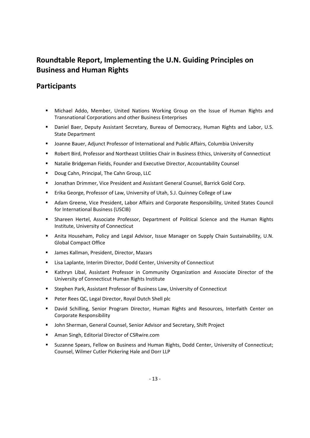# **Roundtable Report, Implementing the U.N. Guiding Principles on Business and Human Rights**

# **Participants**

- Michael Addo, Member, United Nations Working Group on the Issue of Human Rights and Transnational Corporations and other Business Enterprises
- Daniel Baer, Deputy Assistant Secretary, Bureau of Democracy, Human Rights and Labor, U.S. State Department
- Joanne Bauer, Adjunct Professor of International and Public Affairs, Columbia University
- Robert Bird, Professor and Northeast Utilities Chair in Business Ethics, University of Connecticut
- Natalie Bridgeman Fields, Founder and Executive Director, Accountability Counsel
- **Doug Cahn, Principal, The Cahn Group, LLC**
- **Jonathan Drimmer, Vice President and Assistant General Counsel, Barrick Gold Corp.**
- Erika George, Professor of Law, University of Utah, S.J. Quinney College of Law
- Adam Greene, Vice President, Labor Affairs and Corporate Responsibility, United States Council for International Business (USCIB)
- Shareen Hertel, Associate Professor, Department of Political Science and the Human Rights Institute, University of Connecticut
- Anita Househam, Policy and Legal Advisor, Issue Manager on Supply Chain Sustainability, U.N. Global Compact Office
- James Kallman, President, Director, Mazars
- Lisa Laplante, Interim Director, Dodd Center, University of Connecticut
- Kathryn Libal, Assistant Professor in Community Organization and Associate Director of the University of Connecticut Human Rights Institute
- Stephen Park, Assistant Professor of Business Law, University of Connecticut
- **Peter Rees QC, Legal Director, Royal Dutch Shell plc**
- David Schilling, Senior Program Director, Human Rights and Resources, Interfaith Center on Corporate Responsibility
- John Sherman, General Counsel, Senior Advisor and Secretary, Shift Project
- Aman Singh, Editorial Director of CSRwire.com
- Suzanne Spears, Fellow on Business and Human Rights, Dodd Center, University of Connecticut; Counsel, Wilmer Cutler Pickering Hale and Dorr LLP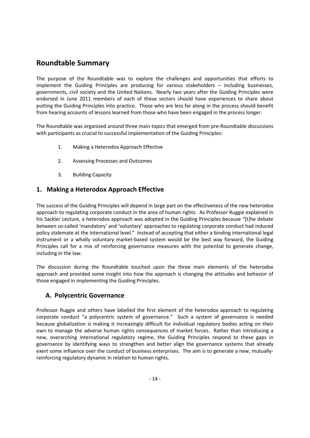# **Roundtable Summary**

The purpose of the Roundtable was to explore the challenges and opportunities that efforts to implement the Guiding Principles are producing for various stakeholders – including businesses, governments, civil society and the United Nations. Nearly two years after the Guiding Principles were endorsed in June 2011 members of each of these sectors should have experiences to share about putting the Guiding Principles into practice. Those who are less far along in the process should benefit from hearing accounts of lessons learned from those who have been engaged in the process longer.

The Roundtable was organized around three main topics that emerged from pre‐Roundtable discussions with participants as crucial to successful implementation of the Guiding Principles:

- 1. Making a Heterodox Approach Effective
- 2. Assessing Processes and Outcomes
- 3. Building Capacity

# **1. Making a Heterodox Approach Effective**

The success of the Guiding Principles will depend in large part on the effectiveness of the new heterodox approach to regulating corporate conduct in the area of human rights. As Professor Ruggie explained in his Sackler Lecture, a heterodox approach was adopted in the Guiding Principles because "[t]he debate between so-called 'mandatory' and 'voluntary' approaches to regulating corporate conduct had induced policy stalemate at the international level." Instead of accepting that either a binding international legal instrument or a wholly voluntary market-based system would be the best way forward, the Guiding Principles call for a mix of reinforcing governance measures with the potential to generate change, including in the law.

The discussion during the Roundtable touched upon the three main elements of the heterodox approach and provided some insight into how the approach is changing the attitudes and behavior of those engaged in implementing the Guiding Principles.

#### **A. Polycentric Governance**

Professor Ruggie and others have labelled the first element of the heterodox approach to regulating corporate conduct "a polycentric system of governance." Such a system of governance is needed because globalization is making it increasingly difficult for individual regulatory bodies acting on their own to manage the adverse human rights consequences of market forces. Rather than introducing a new, overarching international regulatory regime, the Guiding Principles respond to these gaps in governance by identifying ways to strengthen and better align the governance systems that already exert some influence over the conduct of business enterprises. The aim is to generate a new, mutuallyreinforcing regulatory dynamic in relation to human rights.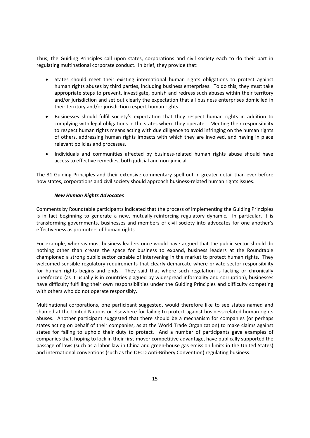Thus, the Guiding Principles call upon states, corporations and civil society each to do their part in regulating multinational corporate conduct. In brief, they provide that:

- States should meet their existing international human rights obligations to protect against human rights abuses by third parties, including business enterprises. To do this, they must take appropriate steps to prevent, investigate, punish and redress such abuses within their territory and/or jurisdiction and set out clearly the expectation that all business enterprises domiciled in their territory and/or jurisdiction respect human rights.
- Businesses should fulfil society's expectation that they respect human rights in addition to complying with legal obligations in the states where they operate. Meeting their responsibility to respect human rights means acting with due diligence to avoid infringing on the human rights of others, addressing human rights impacts with which they are involved, and having in place relevant policies and processes.
- Individuals and communities affected by business-related human rights abuse should have access to effective remedies, both judicial and non‐judicial.

The 31 Guiding Principles and their extensive commentary spell out in greater detail than ever before how states, corporations and civil society should approach business-related human rights issues.

#### *New Human Rights Advocates*

Comments by Roundtable participants indicated that the process of implementing the Guiding Principles is in fact beginning to generate a new, mutually-reinforcing regulatory dynamic. In particular, it is transforming governments, businesses and members of civil society into advocates for one another's effectiveness as promoters of human rights.

For example, whereas most business leaders once would have argued that the public sector should do nothing other than create the space for business to expand, business leaders at the Roundtable championed a strong public sector capable of intervening in the market to protect human rights. They welcomed sensible regulatory requirements that clearly demarcate where private sector responsibility for human rights begins and ends. They said that where such regulation is lacking or chronically unenforced (as it usually is in countries plagued by widespread informality and corruption), businesses have difficulty fulfilling their own responsibilities under the Guiding Principles and difficulty competing with others who do not operate responsibly.

Multinational corporations, one participant suggested, would therefore like to see states named and shamed at the United Nations or elsewhere for failing to protect against business-related human rights abuses. Another participant suggested that there should be a mechanism for companies (or perhaps states acting on behalf of their companies, as at the World Trade Organization) to make claims against states for failing to uphold their duty to protect. And a number of participants gave examples of companies that, hoping to lock in their first-mover competitive advantage, have publically supported the passage of laws (such as a labor law in China and green‐house gas emission limits in the United States) and international conventions (such as the OECD Anti‐Bribery Convention) regulating business.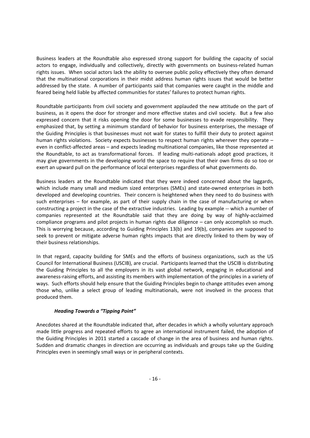Business leaders at the Roundtable also expressed strong support for building the capacity of social actors to engage, individually and collectively, directly with governments on business-related human rights issues. When social actors lack the ability to oversee public policy effectively they often demand that the multinational corporations in their midst address human rights issues that would be better addressed by the state. A number of participants said that companies were caught in the middle and feared being held liable by affected communities for states' failures to protect human rights.

Roundtable participants from civil society and government applauded the new attitude on the part of business, as it opens the door for stronger and more effective states and civil society. But a few also expressed concern that it risks opening the door for some businesses to evade responsibility. They emphasized that, by setting a minimum standard of behavior for business enterprises, the message of the Guiding Principles is that businesses must not wait for states to fulfill their duty to protect against human rights violations. Society expects businesses to respect human rights wherever they operate – even in conflict‐affected areas – and expects leading multinational companies, like those represented at the Roundtable, to act as transformational forces. If leading multi-nationals adopt good practices, it may give governments in the developing world the space to require that their own firms do so too or exert an upward pull on the performance of local enterprises regardless of what governments do.

Business leaders at the Roundtable indicated that they were indeed concerned about the laggards, which include many small and medium sized enterprises (SMEs) and state-owned enterprises in both developed and developing countries. Their concern is heightened when they need to do business with such enterprises – for example, as part of their supply chain in the case of manufacturing or when constructing a project in the case of the extractive industries. Leading by example ‐‐ which a number of companies represented at the Roundtable said that they are doing by way of highly‐acclaimed compliance programs and pilot projects in human rights due diligence – can only accomplish so much. This is worrying because, according to Guiding Principles 13(b) and 19(b), companies are supposed to seek to prevent or mitigate adverse human rights impacts that are directly linked to them by way of their business relationships.

In that regard, capacity building for SMEs and the efforts of business organizations, such as the US Council for International Business (USCIB), are crucial. Participants learned that the USCIB is distributing the Guiding Principles to all the employers in its vast global network, engaging in educational and awareness‐raising efforts, and assisting its members with implementation of the principles in a variety of ways. Such efforts should help ensure that the Guiding Principles begin to change attitudes even among those who, unlike a select group of leading multinationals, were not involved in the process that produced them.

#### *Heading Towards a "Tipping Point"*

Anecdotes shared at the Roundtable indicated that, after decades in which a wholly voluntary approach made little progress and repeated efforts to agree an international instrument failed, the adoption of the Guiding Principles in 2011 started a cascade of change in the area of business and human rights. Sudden and dramatic changes in direction are occurring as individuals and groups take up the Guiding Principles even in seemingly small ways or in peripheral contexts.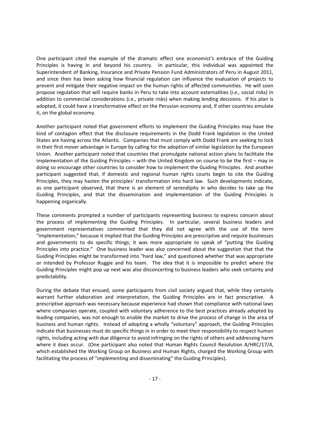One participant cited the example of the dramatic effect one economist's embrace of the Guiding Principles is having in and beyond his country. In particular, this individual was appointed the Superintendent of Banking, Insurance and Private Pension Fund Administrators of Peru in August 2011, and since then has been asking how financial regulation can influence the evaluation of projects to prevent and mitigate their negative impact on the human rights of affected communities. He will soon propose regulation that will require banks in Peru to take into account externalities (*i.e.,* social risks) in addition to commercial considerations (*i.e.,* private risks) when making lending decisions. If his plan is adopted, it could have a transformative effect on the Peruvian economy and, if other countries emulate it, on the global economy.

Another participant noted that government efforts to implement the Guiding Principles may have the kind of contagion effect that the disclosure requirements in the Dodd Frank legislation in the United States are having across the Atlantic. Companies that must comply with Dodd Frank are seeking to lock in their first mover advantage in Europe by calling for the adoption of similar legislation by the European Union. Another participant noted that countries that promulgate national action plans to facilitate the implementation of the Guiding Principles – with the United Kingdom on course to be the first – may in doing so encourage other countries to consider how to implement the Guiding Principles. And another participant suggested that, if domestic and regional human rights courts begin to cite the Guiding Principles, they may hasten the principles' transformation into hard law. Such developments indicate, as one participant observed, that there is an element of serendipity in who decides to take up the Guiding Principles, and that the dissemination and implementation of the Guiding Principles is happening organically.

These comments prompted a number of participants representing business to express concern about the process of implementing the Guiding Principles. In particular, several business leaders and government representatives commented that they did not agree with the use of the term "implementation," because it implied that the Guiding Principles are prescriptive and require businesses and governments to do specific things; it was more appropriate to speak of "putting the Guiding Principles into practice." One business leader was also concerned about the suggestion that that the Guiding Principles might be transformed into "hard law," and questioned whether that was appropriate or intended by Professor Ruggie and his team. The idea that it is impossible to predict where the Guiding Principles might pop up next was also disconcerting to business leaders who seek certainty and predictability.

During the debate that ensued, some participants from civil society argued that, while they certainly warrant further elaboration and interpretation, the Guiding Principles are in fact prescriptive. A prescriptive approach was necessary because experience had shown that compliance with national laws where companies operate, coupled with voluntary adherence to the best practices already adopted by leading companies, was not enough to enable the market to drive the process of change in the area of business and human rights. Instead of adopting a wholly "voluntary" approach, the Guiding Principles indicate that businesses must do specific things in in order to meet their responsibility to respect human rights, including acting with due diligence to avoid infringing on the rights of others and addressing harm where it does occur. (One participant also noted that Human Rights Council Resolution A/HRC/17/4, which established the Working Group on Business and Human Rights, charged the Working Group with facilitating the process of "*implementing* and disseminating" the Guiding Principles).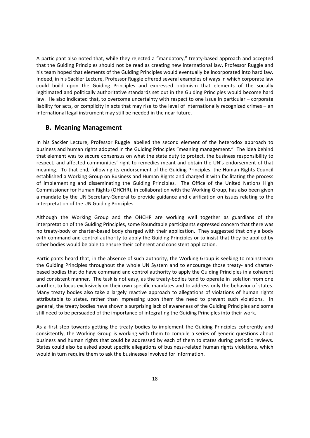A participant also noted that, while they rejected a "mandatory," treaty‐based approach and accepted that the Guiding Principles should not be read as creating new international law, Professor Ruggie and his team hoped that elements of the Guiding Principles would eventually be incorporated into hard law. Indeed, in his Sackler Lecture, Professor Ruggie offered several examples of ways in which corporate law could build upon the Guiding Principles and expressed optimism that elements of the socially legitimated and politically authoritative standards set out in the Guiding Principles would become hard law. He also indicated that, to overcome uncertainty with respect to one issue in particular – corporate liability for acts, or complicity in acts that may rise to the level of internationally recognized crimes – an international legal instrument may still be needed in the near future.

#### **B. Meaning Management**

In his Sackler Lecture, Professor Ruggie labelled the second element of the heterodox approach to business and human rights adopted in the Guiding Principles "meaning management." The idea behind that element was to secure consensus on what the state duty to protect, the business responsibility to respect, and affected communities' right to remedies meant and obtain the UN's endorsement of that meaning. To that end, following its endorsement of the Guiding Principles, the Human Rights Council established a Working Group on Business and Human Rights and charged it with facilitating the process of implementing and disseminating the Guiding Principles. The Office of the United Nations High Commissioner for Human Rights (OHCHR), in collaboration with the Working Group, has also been given a mandate by the UN Secretary‐General to provide guidance and clarification on issues relating to the interpretation of the UN Guiding Principles.

Although the Working Group and the OHCHR are working well together as guardians of the interpretation of the Guiding Principles, some Roundtable participants expressed concern that there was no treaty‐body or charter‐based body charged with their application. They suggested that only a body with command and control authority to apply the Guiding Principles or to insist that they be applied by other bodies would be able to ensure their coherent and consistent application.

Participants heard that, in the absence of such authority, the Working Group is seeking to mainstream the Guiding Principles throughout the whole UN System and to encourage those treaty- and charterbased bodies that do have command and control authority to apply the Guiding Principles in a coherent and consistent manner. The task is not easy, as the treaty-bodies tend to operate in isolation from one another, to focus exclusively on their own specific mandates and to address only the behavior of states. Many treaty bodies also take a largely reactive approach to allegations of violations of human rights attributable to states, rather than impressing upon them the need to prevent such violations. In general, the treaty bodies have shown a surprising lack of awareness of the Guiding Principles and some still need to be persuaded of the importance of integrating the Guiding Principles into their work.

As a first step towards getting the treaty bodies to implement the Guiding Principles coherently and consistently, the Working Group is working with them to compile a series of generic questions about business and human rights that could be addressed by each of them to states during periodic reviews. States could also be asked about specific allegations of business-related human rights violations, which would in turn require them to ask the businesses involved for information.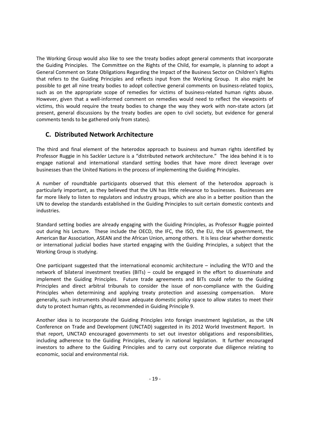The Working Group would also like to see the treaty bodies adopt general comments that incorporate the Guiding Principles. The Committee on the Rights of the Child, for example, is planning to adopt a General Comment on State Obligations Regarding the Impact of the Business Sector on Children's Rights that refers to the Guiding Principles and reflects input from the Working Group. It also might be possible to get all nine treaty bodies to adopt collective general comments on business-related topics, such as on the appropriate scope of remedies for victims of business-related human rights abuse. However, given that a well‐informed comment on remedies would need to reflect the viewpoints of victims, this would require the treaty bodies to change the way they work with non‐state actors (at present, general discussions by the treaty bodies are open to civil society, but evidence for general comments tends to be gathered only from states).

#### **C. Distributed Network Architecture**

The third and final element of the heterodox approach to business and human rights identified by Professor Ruggie in his Sackler Lecture is a "distributed network architecture." The idea behind it is to engage national and international standard setting bodies that have more direct leverage over businesses than the United Nations in the process of implementing the Guiding Principles.

A number of roundtable participants observed that this element of the heterodox approach is particularly important, as they believed that the UN has little relevance to businesses. Businesses are far more likely to listen to regulators and industry groups, which are also in a better position than the UN to develop the standards established in the Guiding Principles to suit certain domestic contexts and industries.

Standard setting bodies are already engaging with the Guiding Principles, as Professor Ruggie pointed out during his Lecture. These include the OECD, the IFC, the ISO, the EU, the US government, the American Bar Association, ASEAN and the African Union, among others. It is less clear whether domestic or international judicial bodies have started engaging with the Guiding Principles, a subject that the Working Group is studying.

One participant suggested that the international economic architecture – including the WTO and the network of bilateral investment treaties (BITs) – could be engaged in the effort to disseminate and implement the Guiding Principles. Future trade agreements and BITs could refer to the Guiding Principles and direct arbitral tribunals to consider the issue of non‐compliance with the Guiding Principles when determining and applying treaty protection and assessing compensation. More generally, such instruments should leave adequate domestic policy space to allow states to meet their duty to protect human rights, as recommended in Guiding Principle 9.

Another idea is to incorporate the Guiding Principles into foreign investment legislation, as the UN Conference on Trade and Development (UNCTAD) suggested in its 2012 World Investment Report. In that report, UNCTAD encouraged governments to set out investor obligations and responsibilities, including adherence to the Guiding Principles, clearly in national legislation. It further encouraged investors to adhere to the Guiding Principles and to carry out corporate due diligence relating to economic, social and environmental risk.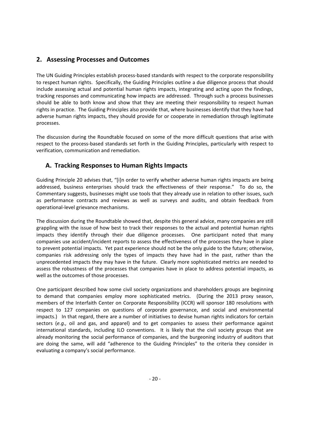#### **2. Assessing Processes and Outcomes**

The UN Guiding Principles establish process-based standards with respect to the corporate responsibility to respect human rights. Specifically, the Guiding Principles outline a due diligence process that should include assessing actual and potential human rights impacts, integrating and acting upon the findings, tracking responses and communicating how impacts are addressed. Through such a process businesses should be able to both know and show that they are meeting their responsibility to respect human rights in practice. The Guiding Principles also provide that, where businesses identify that they have had adverse human rights impacts, they should provide for or cooperate in remediation through legitimate processes.

The discussion during the Roundtable focused on some of the more difficult questions that arise with respect to the process‐based standards set forth in the Guiding Principles, particularly with respect to verification, communication and remediation.

#### **A. Tracking Responses to Human Rights Impacts**

Guiding Principle 20 advises that, "[i]n order to verify whether adverse human rights impacts are being addressed, business enterprises should track the effectiveness of their response." To do so, the Commentary suggests, businesses might use tools that they already use in relation to other issues, such as performance contracts and reviews as well as surveys and audits, and obtain feedback from operational‐level grievance mechanisms.

The discussion during the Roundtable showed that, despite this general advice, many companies are still grappling with the issue of how best to track their responses to the actual and potential human rights impacts they identify through their due diligence processes. One participant noted that many companies use accident/incident reports to assess the effectiveness of the processes they have in place to prevent potential impacts. Yet past experience should not be the only guide to the future; otherwise, companies risk addressing only the types of impacts they have had in the past, rather than the unprecedented impacts they may have in the future. Clearly more sophisticated metrics are needed to assess the robustness of the processes that companies have in place to address potential impacts, as well as the outcomes of those processes.

One participant described how some civil society organizations and shareholders groups are beginning to demand that companies employ more sophisticated metrics. (During the 2013 proxy season, members of the Interfaith Center on Corporate Responsibility (ICCR) will sponsor 180 resolutions with respect to 127 companies on questions of corporate governance, and social and environmental impacts.) In that regard, there are a number of initiatives to devise human rights indicators for certain sectors (*e.g.,* oil and gas, and apparel) and to get companies to assess their performance against international standards, including ILO conventions. It is likely that the civil society groups that are already monitoring the social performance of companies, and the burgeoning industry of auditors that are doing the same, will add "adherence to the Guiding Principles" to the criteria they consider in evaluating a company's social performance.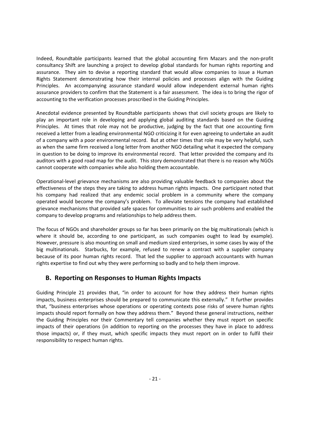Indeed, Roundtable participants learned that the global accounting firm Mazars and the non‐profit consultancy Shift are launching a project to develop global standards for human rights reporting and assurance. They aim to devise a reporting standard that would allow companies to issue a Human Rights Statement demonstrating how their internal policies and processes align with the Guiding Principles. An accompanying assurance standard would allow independent external human rights assurance providers to confirm that the Statement is a fair assessment. The idea is to bring the rigor of accounting to the verification processes proscribed in the Guiding Principles.

Anecdotal evidence presented by Roundtable participants shows that civil society groups are likely to play an important role in developing and applying global auditing standards based on the Guiding Principles. At times that role may not be productive, judging by the fact that one accounting firm received a letter from a leading environmental NGO criticizing it for even agreeing to undertake an audit of a company with a poor environmental record. But at other times that role may be very helpful, such as when the same firm received a long letter from another NGO detailing what it expected the company in question to be doing to improve its environmental record. That letter provided the company and its auditors with a good road map for the audit. This story demonstrated that there is no reason why NGOs cannot cooperate with companies while also holding them accountable.

Operational‐level grievance mechanisms are also providing valuable feedback to companies about the effectiveness of the steps they are taking to address human rights impacts. One participant noted that his company had realized that any endemic social problem in a community where the company operated would become the company's problem. To alleviate tensions the company had established grievance mechanisms that provided safe spaces for communities to air such problems and enabled the company to develop programs and relationships to help address them.

The focus of NGOs and shareholder groups so far has been primarily on the big multinationals (which is where it should be, according to one participant, as such companies ought to lead by example). However, pressure is also mounting on small and medium sized enterprises, in some cases by way of the big multinationals. Starbucks, for example, refused to renew a contract with a supplier company because of its poor human rights record. That led the supplier to approach accountants with human rights expertise to find out why they were performing so badly and to help them improve.

#### **B. Reporting on Responses to Human Rights Impacts**

Guiding Principle 21 provides that, "in order to account for how they address their human rights impacts, business enterprises should be prepared to communicate this externally." It further provides that, "business enterprises whose operations or operating contexts pose risks of severe human rights impacts should report formally on how they address them." Beyond these general instructions, neither the Guiding Principles nor their Commentary tell companies whether they must report on specific impacts of their operations (in addition to reporting on the processes they have in place to address those impacts) or, if they must, which specific impacts they must report on in order to fulfil their responsibility to respect human rights.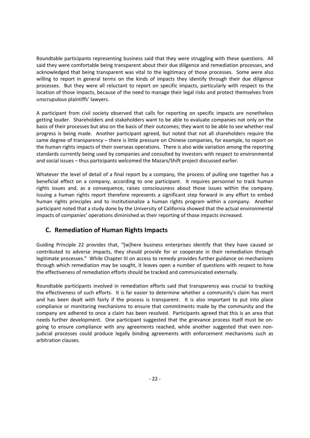Roundtable participants representing business said that they were struggling with these questions. All said they were comfortable being transparent about their due diligence and remediation processes, and acknowledged that being transparent was vital to the legitimacy of those processes. Some were also willing to report in general terms on the kinds of impacts they identify through their due diligence processes. But they were all reluctant to report on specific impacts, particularly with respect to the location of those impacts, because of the need to manage their legal risks and protect themselves from unscrupulous plaintiffs' lawyers.

A participant from civil society observed that calls for reporting on specific impacts are nonetheless getting louder. Shareholders and stakeholders want to be able to evaluate companies not only on the basis of their processes but also on the basis of their outcomes; they want to be able to see whether real progress is being made. Another participant agreed, but noted that not all shareholders require the same degree of transparency – there is little pressure on Chinese companies, for example, to report on the human rights impacts of their overseas operations. There is also wide variation among the reporting standards currently being used by companies and consulted by investors with respect to environmental and social issues – thus participants welcomed the Mazars/Shift project discussed earlier.

Whatever the level of detail of a final report by a company, the process of pulling one together has a beneficial effect on a company, according to one participant. It requires personnel to track human rights issues and, as a consequence, raises consciousness about those issues within the company. Issuing a human rights report therefore represents a significant step forward in any effort to embed human rights principles and to institutionalize a human rights program within a company. Another participant noted that a study done by the University of California showed that the actual environmental impacts of companies' operations diminished as their reporting of those impacts increased.

# **C. Remediation of Human Rights Impacts**

Guiding Principle 22 provides that, "[w]here business enterprises identify that they have caused or contributed to adverse impacts, they should provide for or cooperate in their remediation through legitimate processes." While Chapter III on access to remedy provides further guidance on mechanisms through which remediation may be sought, it leaves open a number of questions with respect to how the effectiveness of remediation efforts should be tracked and communicated externally.

Roundtable participants involved in remediation efforts said that transparency was crucial to tracking the effectiveness of such efforts. It is far easier to determine whether a community's claim has merit and has been dealt with fairly if the process is transparent. It is also important to put into place compliance or monitoring mechanisms to ensure that commitments made by the community and the company are adhered to once a claim has been resolved. Participants agreed that this is an area that needs further development. One participant suggested that the grievance process itself must be ongoing to ensure compliance with any agreements reached, while another suggested that even nonjudicial processes could produce legally binding agreements with enforcement mechanisms such as arbitration clauses.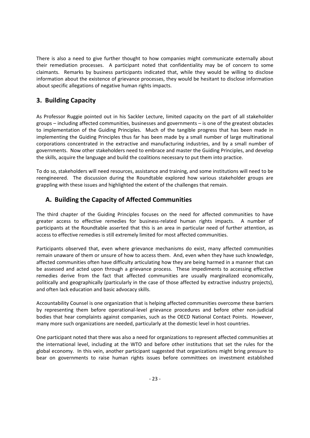There is also a need to give further thought to how companies might communicate externally about their remediation processes. A participant noted that confidentiality may be of concern to some claimants. Remarks by business participants indicated that, while they would be willing to disclose information about the existence of grievance processes, they would be hesitant to disclose information about specific allegations of negative human rights impacts.

#### **3. Building Capacity**

As Professor Ruggie pointed out in his Sackler Lecture, limited capacity on the part of all stakeholder groups – including affected communities, businesses and governments – is one of the greatest obstacles to implementation of the Guiding Principles. Much of the tangible progress that has been made in implementing the Guiding Principles thus far has been made by a small number of large multinational corporations concentrated in the extractive and manufacturing industries, and by a small number of governments. Now other stakeholders need to embrace and master the Guiding Principles, and develop the skills, acquire the language and build the coalitions necessary to put them into practice.

To do so, stakeholders will need resources, assistance and training, and some institutions will need to be reengineered. The discussion during the Roundtable explored how various stakeholder groups are grappling with these issues and highlighted the extent of the challenges that remain.

# **A. Building the Capacity of Affected Communities**

The third chapter of the Guiding Principles focuses on the need for affected communities to have greater access to effective remedies for business-related human rights impacts. A number of participants at the Roundtable asserted that this is an area in particular need of further attention, as access to effective remedies is still extremely limited for most affected communities.

Participants observed that, even where grievance mechanisms do exist, many affected communities remain unaware of them or unsure of how to access them. And, even when they have such knowledge, affected communities often have difficulty articulating how they are being harmed in a manner that can be assessed and acted upon through a grievance process. These impediments to accessing effective remedies derive from the fact that affected communities are usually marginalized economically, politically and geographically (particularly in the case of those affected by extractive industry projects), and often lack education and basic advocacy skills.

Accountability Counsel is one organization that is helping affected communities overcome these barriers by representing them before operational‐level grievance procedures and before other non‐judicial bodies that hear complaints against companies, such as the OECD National Contact Points. However, many more such organizations are needed, particularly at the domestic level in host countries.

One participant noted that there was also a need for organizations to represent affected communities at the international level, including at the WTO and before other institutions that set the rules for the global economy. In this vein, another participant suggested that organizations might bring pressure to bear on governments to raise human rights issues before committees on investment established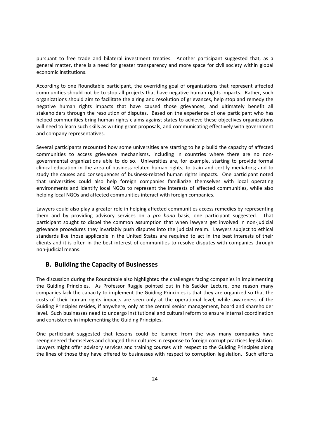pursuant to free trade and bilateral investment treaties. Another participant suggested that, as a general matter, there is a need for greater transparency and more space for civil society within global economic institutions.

According to one Roundtable participant, the overriding goal of organizations that represent affected communities should not be to stop all projects that have negative human rights impacts. Rather, such organizations should aim to facilitate the airing and resolution of grievances, help stop and remedy the negative human rights impacts that have caused those grievances, and ultimately benefit all stakeholders through the resolution of disputes. Based on the experience of one participant who has helped communities bring human rights claims against states to achieve these objectives organizations will need to learn such skills as writing grant proposals, and communicating effectively with government and company representatives.

Several participants recounted how some universities are starting to help build the capacity of affected communities to access grievance mechanisms, including in countries where there are no non‐ governmental organizations able to do so. Universities are, for example, starting to provide formal clinical education in the area of business‐related human rights; to train and certify mediators; and to study the causes and consequences of business-related human rights impacts. One participant noted that universities could also help foreign companies familiarize themselves with local operating environments and identify local NGOs to represent the interests of affected communities, while also helping local NGOs and affected communities interact with foreign companies.

Lawyers could also play a greater role in helping affected communities access remedies by representing them and by providing advisory services on a *pro bono* basis, one participant suggested. That participant sought to dispel the common assumption that when lawyers get involved in non-judicial grievance procedures they invariably push disputes into the judicial realm. Lawyers subject to ethical standards like those applicable in the United States are required to act in the best interests of their clients and it is often in the best interest of communities to resolve disputes with companies through non‐judicial means.

#### **B. Building the Capacity of Businesses**

The discussion during the Roundtable also highlighted the challenges facing companies in implementing the Guiding Principles. As Professor Ruggie pointed out in his Sackler Lecture, one reason many companies lack the capacity to implement the Guiding Principles is that they are organized so that the costs of their human rights impacts are seen only at the operational level, while awareness of the Guiding Principles resides, if anywhere, only at the central senior management, board and shareholder level. Such businesses need to undergo institutional and cultural reform to ensure internal coordination and consistency in implementing the Guiding Principles.

One participant suggested that lessons could be learned from the way many companies have reengineered themselves and changed their cultures in response to foreign corrupt practices legislation. Lawyers might offer advisory services and training courses with respect to the Guiding Principles along the lines of those they have offered to businesses with respect to corruption legislation. Such efforts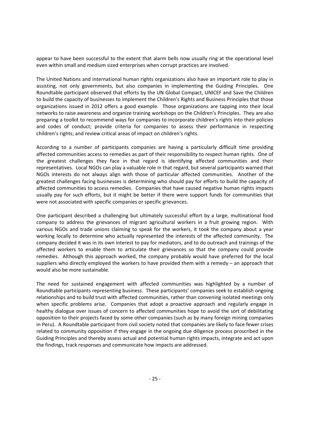appear to have been successful to the extent that alarm bells now usually ring at the operational level even within small and medium sized enterprises when corrupt practices are involved.

The United Nations and international human rights organizations also have an important role to play in assisting, not only governments, but also companies in implementing the Guiding Principles. One Roundtable participant observed that efforts by the UN Global Compact, UNICEF and Save the Children to build the capacity of businesses to implement the Children's Rights and Business Principles that those organizations issued in 2012 offers a good example. Those organizations are tapping into their local networks to raise awareness and organize training workshops on the Children's Principles. They are also preparing a toolkit to recommend ways for companies to incorporate children's rights into their policies and codes of conduct; provide criteria for companies to assess their performance in respecting children's rights; and review critical areas of impact on children's rights.

According to a number of participants companies are having a particularly difficult time providing affected communities access to remedies as part of their responsibility to respect human rights. One of the greatest challenges they face in that regard is identifying affected communities and their representatives. Local NGOs can play a valuable role in that regard, but several participants warned that NGOs interests do not always align with those of particular affected communities. Another of the greatest challenges facing businesses is determining who should pay for efforts to build the capacity of affected communities to access remedies. Companies that have caused negative human rights impacts usually pay for such efforts, but it might be better if there were support funds for communities that were not associated with specific companies or specific grievances.

One participant described a challenging but ultimately successful effort by a large, multinational food company to address the grievances of migrant agricultural workers in a fruit growing region. With various NGOs and trade unions claiming to speak for the workers, it took the company about a year working locally to determine who actually represented the interests of the affected community. The company decided it was in its own interest to pay for mediators, and to do outreach and trainings of the affected workers to enable them to articulate their grievances so that the company could provide remedies. Although this approach worked, the company probably would have preferred for the local suppliers who directly employed the workers to have provided them with a remedy – an approach that would also be more sustainable.

The need for sustained engagement with affected communities was highlighted by a number of Roundtable participants representing business. These participants' companies seek to establish ongoing relationships and to build trust with affected communities, rather than convening isolated meetings only when specific problems arise. Companies that adopt a proactive approach and regularly engage in healthy dialogue over issues of concern to affected communities hope to avoid the sort of debilitating opposition to their projects faced by some other companies (such as by many foreign mining companies in Peru). A Roundtable participant from civil society noted that companies are likely to face fewer crises related to community opposition if they engage in the ongoing due diligence process proscribed in the Guiding Principles and thereby assess actual and potential human rights impacts, integrate and act upon the findings, track responses and communicate how impacts are addressed.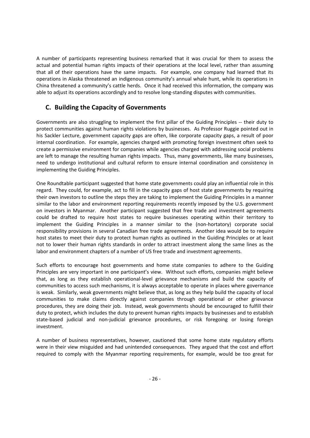A number of participants representing business remarked that it was crucial for them to assess the actual and potential human rights impacts of their operations at the local level, rather than assuming that all of their operations have the same impacts. For example, one company had learned that its operations in Alaska threatened an indigenous community's annual whale hunt, while its operations in China threatened a community's cattle herds. Once it had received this information, the company was able to adjust its operations accordingly and to resolve long-standing disputes with communities.

#### **C. Building the Capacity of Governments**

Governments are also struggling to implement the first pillar of the Guiding Principles -- their duty to protect communities against human rights violations by businesses. As Professor Ruggie pointed out in his Sackler Lecture, government capacity gaps are often, like corporate capacity gaps, a result of poor internal coordination. For example, agencies charged with promoting foreign investment often seek to create a permissive environment for companies while agencies charged with addressing social problems are left to manage the resulting human rights impacts. Thus, many governments, like many businesses, need to undergo institutional and cultural reform to ensure internal coordination and consistency in implementing the Guiding Principles.

One Roundtable participant suggested that home state governments could play an influential role in this regard. They could, for example, act to fill in the capacity gaps of host state governments by requiring their own investors to outline the steps they are taking to implement the Guiding Principles in a manner similar to the labor and environment reporting requirements recently imposed by the U.S. government on investors in Myanmar. Another participant suggested that free trade and investment agreements could be drafted to require host states to require businesses operating within their territory to implement the Guiding Principles in a manner similar to the (non-hortatory) corporate social responsibility provisions in several Canadian free trade agreements. Another idea would be to require host states to meet their duty to protect human rights as outlined in the Guiding Principles or at least not to lower their human rights standards in order to attract investment along the same lines as the labor and environment chapters of a number of US free trade and investment agreements.

Such efforts to encourage host governments and home state companies to adhere to the Guiding Principles are very important in one participant's view. Without such efforts, companies might believe that, as long as they establish operational‐level grievance mechanisms and build the capacity of communities to access such mechanisms, it is always acceptable to operate in places where governance is weak. Similarly, weak governments might believe that, as long as they help build the capacity of local communities to make claims directly against companies through operational or other grievance procedures, they are doing their job. Instead, weak governments should be encouraged to fulfill their duty to protect, which includes the duty to prevent human rights impacts by businesses and to establish state-based judicial and non-judicial grievance procedures, or risk foregoing or losing foreign investment.

A number of business representatives, however, cautioned that some home state regulatory efforts were in their view misguided and had unintended consequences. They argued that the cost and effort required to comply with the Myanmar reporting requirements, for example, would be too great for